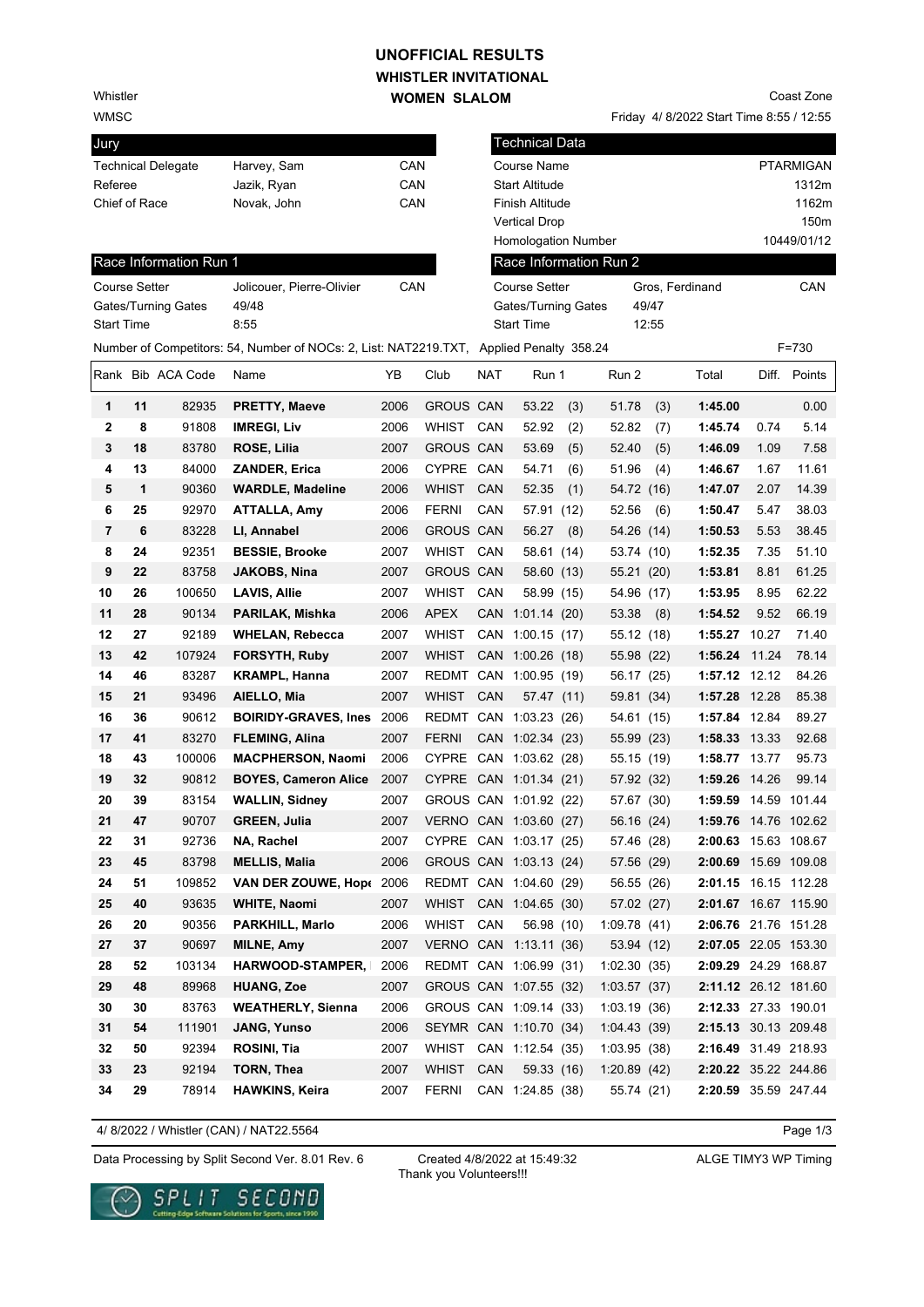## WHISTLER **INVITATIONAL UNOFFICIAL RESULTS**

Whistler

WMSC

Jury

| <b>WOMEN SLALOM</b> |
|---------------------|

Friday 4/ 8/2022 Start Time 8:55 / 12:55 Coast Zone

| Jury              |    |                           |                                                                                         |      |                        |            | <b>Technical Data</b>  |      |                        |       |                      |       |                  |
|-------------------|----|---------------------------|-----------------------------------------------------------------------------------------|------|------------------------|------------|------------------------|------|------------------------|-------|----------------------|-------|------------------|
|                   |    | <b>Technical Delegate</b> | Harvey, Sam                                                                             | CAN  |                        |            | Course Name            |      |                        |       |                      |       | <b>PTARMIGAN</b> |
| Referee           |    |                           | Jazik, Ryan                                                                             | CAN  |                        |            | <b>Start Altitude</b>  |      |                        |       |                      |       | 1312m            |
| Chief of Race     |    |                           | Novak, John                                                                             | CAN  |                        |            | Finish Altitude        |      |                        |       |                      |       | 1162m            |
|                   |    |                           |                                                                                         |      |                        |            | <b>Vertical Drop</b>   |      |                        |       |                      |       | 150m             |
|                   |    |                           |                                                                                         |      |                        |            | Homologation Number    |      |                        |       |                      |       | 10449/01/12      |
|                   |    | Race Information Run 1    |                                                                                         |      |                        |            |                        |      | Race Information Run 2 |       |                      |       |                  |
| Course Setter     |    |                           | Jolicouer, Pierre-Olivier                                                               | CAN  |                        |            | Course Setter          |      |                        |       | Gros, Ferdinand      |       | CAN              |
|                   |    | Gates/Turning Gates       | 49/48                                                                                   |      |                        |            | Gates/Turning Gates    |      |                        | 49/47 |                      |       |                  |
| <b>Start Time</b> |    |                           | 8:55                                                                                    |      |                        |            | <b>Start Time</b>      |      |                        | 12:55 |                      |       |                  |
|                   |    |                           | Number of Competitors: 54, Number of NOCs: 2, List: NAT2219.TXT, Applied Penalty 358.24 |      |                        |            |                        |      |                        |       |                      |       | F=730            |
|                   |    | Rank Bib ACA Code         | Name                                                                                    | YB   | Club                   | <b>NAT</b> | Run 1                  |      | Run 2                  |       | Total                |       | Diff. Points     |
| 1                 | 11 | 82935                     | <b>PRETTY, Maeve</b>                                                                    | 2006 | <b>GROUS CAN</b>       |            | 53.22                  | (3)  | 51.78                  | (3)   | 1:45.00              |       | 0.00             |
| $\mathbf{2}$      | 8  | 91808                     | <b>IMREGI, Liv</b>                                                                      | 2006 | <b>WHIST</b>           | CAN        | 52.92                  | (2)  | 52.82                  | (7)   | 1:45.74              | 0.74  | 5.14             |
| 3                 | 18 | 83780                     | ROSE, Lilia                                                                             | 2007 | GROUS CAN              |            | 53.69                  | (5)  | 52.40                  | (5)   | 1:46.09              | 1.09  | 7.58             |
| 4                 | 13 | 84000                     | <b>ZANDER, Erica</b>                                                                    | 2006 | CYPRE CAN              |            | 54.71                  | (6)  | 51.96                  | (4)   | 1:46.67              | 1.67  | 11.61            |
| 5                 | 1  | 90360                     | <b>WARDLE, Madeline</b>                                                                 | 2006 | WHIST                  | CAN        | 52.35                  | (1)  | 54.72 (16)             |       | 1:47.07              | 2.07  | 14.39            |
| 6                 | 25 | 92970                     | <b>ATTALLA, Amy</b>                                                                     | 2006 | <b>FERNI</b>           | CAN        | 57.91                  | (12) | 52.56                  | (6)   | 1:50.47              | 5.47  | 38.03            |
| 7                 | 6  | 83228                     | LI, Annabel                                                                             | 2006 | <b>GROUS CAN</b>       |            | 56.27                  | (8)  | 54.26 (14)             |       | 1:50.53              | 5.53  | 38.45            |
| 8                 | 24 | 92351                     | <b>BESSIE, Brooke</b>                                                                   | 2007 | WHIST                  | CAN        | 58.61 (14)             |      | 53.74 (10)             |       | 1:52.35              | 7.35  | 51.10            |
| 9                 | 22 | 83758                     | <b>JAKOBS, Nina</b>                                                                     | 2007 | <b>GROUS CAN</b>       |            | 58.60 (13)             |      | 55.21 (20)             |       | 1:53.81              | 8.81  | 61.25            |
| 10                | 26 | 100650                    | <b>LAVIS, Allie</b>                                                                     | 2007 | <b>WHIST</b>           | CAN        | 58.99 (15)             |      | 54.96 (17)             |       | 1:53.95              | 8.95  | 62.22            |
| 11                | 28 | 90134                     | PARILAK, Mishka                                                                         | 2006 | <b>APEX</b>            | CAN        | 1:01.14(20)            |      | 53.38                  | (8)   | 1:54.52              | 9.52  | 66.19            |
| 12                | 27 | 92189                     | <b>WHELAN, Rebecca</b>                                                                  | 2007 | <b>WHIST</b>           |            | CAN 1:00.15 (17)       |      | 55.12 (18)             |       | 1:55.27 10.27        |       | 71.40            |
| 13                | 42 | 107924                    | <b>FORSYTH, Ruby</b>                                                                    | 2007 | <b>WHIST</b>           |            | CAN 1:00.26 (18)       |      | 55.98 (22)             |       | 1:56.24              | 11.24 | 78.14            |
| 14                | 46 | 83287                     | <b>KRAMPL, Hanna</b>                                                                    | 2007 |                        |            | REDMT CAN 1:00.95 (19) |      | 56.17 (25)             |       | 1:57.12 12.12        |       | 84.26            |
| 15                | 21 | 93496                     | AIELLO, Mia                                                                             | 2007 | <b>WHIST</b>           | CAN        | 57.47 (11)             |      | 59.81 (34)             |       | 1:57.28 12.28        |       | 85.38            |
| 16                | 36 | 90612                     | <b>BOIRIDY-GRAVES, Ines</b>                                                             | 2006 |                        |            | REDMT CAN 1:03.23 (26) |      | 54.61 (15)             |       | 1:57.84 12.84        |       | 89.27            |
| 17                | 41 | 83270                     | <b>FLEMING, Alina</b>                                                                   | 2007 | <b>FERNI</b>           |            | CAN 1:02.34 (23)       |      | 55.99 (23)             |       | 1:58.33 13.33        |       | 92.68            |
| 18                | 43 | 100006                    | <b>MACPHERSON, Naomi</b>                                                                | 2006 | <b>CYPRE</b>           |            | CAN 1:03.62 (28)       |      | 55.15 (19)             |       | 1:58.77 13.77        |       | 95.73            |
| 19                | 32 | 90812                     | <b>BOYES, Cameron Alice</b>                                                             | 2007 |                        |            | CYPRE CAN 1:01.34 (21) |      | 57.92 (32)             |       | 1:59.26 14.26        |       | 99.14            |
| 20                | 39 | 83154                     | <b>WALLIN, Sidney</b>                                                                   | 2007 |                        |            | GROUS CAN 1:01.92 (22) |      | 57.67 (30)             |       | 1:59.59              |       | 14.59 101.44     |
| 21                | 47 | 90707                     | GREEN, Julia                                                                            | 2007 |                        |            | VERNO CAN 1:03.60 (27) |      | 56.16 (24)             |       | 1:59.76 14.76 102.62 |       |                  |
| 22                | 31 | 92736                     | NA, Rachel                                                                              | 2007 |                        |            | CYPRE CAN 1:03.17 (25) |      | 57.46 (28)             |       | 2:00.63 15.63 108.67 |       |                  |
| 23                | 45 | 83798                     | <b>MELLIS, Malia</b>                                                                    | 2006 |                        |            | GROUS CAN 1:03.13 (24) |      | 57.56 (29)             |       | 2:00.69 15.69 109.08 |       |                  |
| 24                | 51 | 109852                    | <b>VAN DER ZOUWE, Hope</b>                                                              | 2006 |                        |            | REDMT CAN 1:04.60 (29) |      | 56.55 (26)             |       | 2:01.15 16.15 112.28 |       |                  |
| 25                | 40 | 93635                     | <b>WHITE, Naomi</b>                                                                     | 2007 |                        |            | WHIST CAN 1:04.65 (30) |      | 57.02 (27)             |       | 2:01.67 16.67 115.90 |       |                  |
| 26                | 20 | 90356                     | <b>PARKHILL, Marlo</b>                                                                  | 2006 | WHIST CAN              |            | 56.98 (10)             |      | 1:09.78(41)            |       | 2:06.76 21.76 151.28 |       |                  |
| 27                | 37 | 90697                     | <b>MILNE, Amy</b>                                                                       | 2007 |                        |            | VERNO CAN 1:13.11 (36) |      | 53.94 (12)             |       | 2:07.05 22.05 153.30 |       |                  |
| 28                | 52 | 103134                    | <b>HARWOOD-STAMPER,</b>                                                                 | 2006 |                        |            | REDMT CAN 1:06.99 (31) |      | 1:02.30(35)            |       | 2:09.29 24.29 168.87 |       |                  |
| 29                | 48 | 89968                     | <b>HUANG, Zoe</b>                                                                       | 2007 |                        |            | GROUS CAN 1:07.55 (32) |      | 1:03.57(37)            |       | 2:11.12 26.12 181.60 |       |                  |
| 30                | 30 | 83763                     | <b>WEATHERLY, Sienna</b>                                                                | 2006 |                        |            | GROUS CAN 1:09.14 (33) |      | 1:03.19(36)            |       | 2:12.33 27.33 190.01 |       |                  |
| 31                | 54 | 111901                    | <b>JANG, Yunso</b>                                                                      | 2006 |                        |            | SEYMR CAN 1:10.70 (34) |      | 1:04.43(39)            |       | 2:15.13 30.13 209.48 |       |                  |
| 32                | 50 | 92394                     | ROSINI, Tia                                                                             | 2007 | WHIST CAN 1:12.54 (35) |            |                        |      | 1:03.95(38)            |       | 2:16.49 31.49 218.93 |       |                  |
| 33                | 23 | 92194                     | <b>TORN, Thea</b>                                                                       | 2007 | <b>WHIST</b>           | CAN        | 59.33 (16)             |      | 1:20.89(42)            |       | 2:20.22 35.22 244.86 |       |                  |
| 34                | 29 | 78914                     | <b>HAWKINS, Keira</b>                                                                   | 2007 | FERNI                  |            | CAN 1:24.85 (38)       |      | 55.74 (21)             |       | 2:20.59 35.59 247.44 |       |                  |

4/ 8/2022 / Whistler (CAN) / NAT22.5564

Page 1/3

Data Processing by Split Second Ver. 8.01 Rev. 6 Created 4/8/2022 at 15:49:32 ALGE TIMY3 WP Timing

Created 4/8/2022 at 15:49:32 Thank you Volunteers!!!

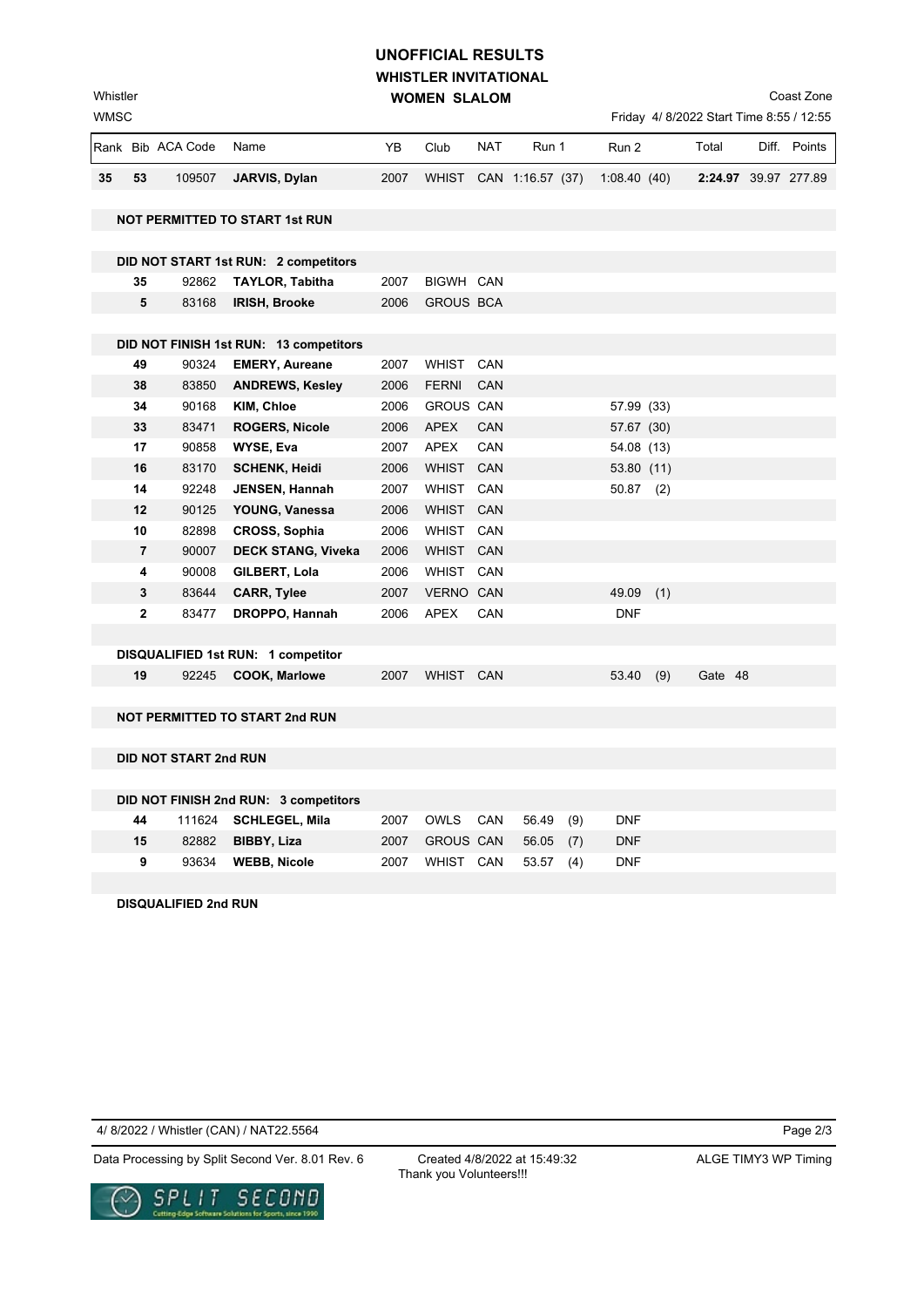## **WHISTLER INVITATIONAL WOMEN SLALOM UNOFFICIAL RESULTS**

Coast Zone

| WMSC |    |                   |                                        |      |                  |            |                  |             | Friday 4/8/2022 Start Time 8:55 / 12:55 |       |              |
|------|----|-------------------|----------------------------------------|------|------------------|------------|------------------|-------------|-----------------------------------------|-------|--------------|
|      |    | Rank Bib ACA Code | Name                                   | YB   | Club             | <b>NAT</b> | Run 1            | Run 2       | Total                                   | Diff. | Points       |
| 35   | 53 | 109507            | JARVIS, Dylan                          | 2007 | <b>WHIST</b>     |            | CAN 1:16.57 (37) | 1:08.40(40) | 2:24.97                                 |       | 39.97 277.89 |
|      |    |                   | <b>NOT PERMITTED TO START 1st RUN</b>  |      |                  |            |                  |             |                                         |       |              |
|      |    |                   | DID NOT START 1st RUN: 2 competitors   |      |                  |            |                  |             |                                         |       |              |
|      | 35 | 92862             | <b>TAYLOR, Tabitha</b>                 | 2007 | BIGWH CAN        |            |                  |             |                                         |       |              |
|      | 5  | 83168             | <b>IRISH, Brooke</b>                   | 2006 | <b>GROUS BCA</b> |            |                  |             |                                         |       |              |
|      |    |                   |                                        |      |                  |            |                  |             |                                         |       |              |
|      |    |                   | DID NOT FINISH 1st RUN: 13 competitors |      |                  |            |                  |             |                                         |       |              |
|      | 49 | 90324             | <b>EMERY, Aureane</b>                  | 2007 | <b>WHIST</b>     | CAN        |                  |             |                                         |       |              |
|      | 38 | 83850             | <b>ANDREWS, Kesley</b>                 | 2006 | <b>FERNI</b>     | CAN        |                  |             |                                         |       |              |
|      | 34 | 90168             | KIM, Chloe                             | 2006 | <b>GROUS CAN</b> |            |                  | 57.99 (33)  |                                         |       |              |

| 34           | 90168 | KIM, Chloe                         | 2006 | <b>GROUS CAN</b> |            | 57.99 (33) |     |         |  |
|--------------|-------|------------------------------------|------|------------------|------------|------------|-----|---------|--|
| 33           | 83471 | <b>ROGERS, Nicole</b>              | 2006 | APEX             | <b>CAN</b> | 57.67 (30) |     |         |  |
| 17           | 90858 | WYSE, Eva                          | 2007 | APEX             | <b>CAN</b> | 54.08 (13) |     |         |  |
| 16           | 83170 | <b>SCHENK, Heidi</b>               | 2006 | WHIST CAN        |            | 53.80 (11) |     |         |  |
| 14           | 92248 | <b>JENSEN, Hannah</b>              | 2007 | WHIST            | CAN        | 50.87      | (2) |         |  |
| $12 \,$      | 90125 | YOUNG, Vanessa                     | 2006 | WHIST CAN        |            |            |     |         |  |
| 10           | 82898 | <b>CROSS, Sophia</b>               | 2006 | WHIST CAN        |            |            |     |         |  |
| 7            | 90007 | <b>DECK STANG, Viveka</b>          | 2006 | WHIST CAN        |            |            |     |         |  |
| 4            | 90008 | GILBERT, Lola                      | 2006 | WHIST            | CAN        |            |     |         |  |
| 3            | 83644 | <b>CARR, Tylee</b>                 | 2007 | <b>VERNO CAN</b> |            | 49.09 (1)  |     |         |  |
| $\mathbf{2}$ | 83477 | DROPPO, Hannah                     | 2006 | APEX             | <b>CAN</b> | <b>DNF</b> |     |         |  |
|              |       |                                    |      |                  |            |            |     |         |  |
|              |       | DISQUALIFIED 1st RUN: 1 competitor |      |                  |            |            |     |         |  |
| 19           | 92245 | <b>COOK, Marlowe</b>               | 2007 | <b>WHIST</b>     | <b>CAN</b> | 53.40      | (9) | Gate 48 |  |

**NOT PERMITTED TO START 2nd RUN**

**DID NOT START 2nd RUN**

WMSC Whistler

|    | DID NOT FINISH 2nd RUN: 3 competitors |      |                          |  |            |
|----|---------------------------------------|------|--------------------------|--|------------|
|    | 44 111624 SCHLEGEL, Mila              | 2007 | OWLS CAN 56.49 (9)       |  | <b>DNF</b> |
| 15 | 82882 <b>BIBBY, Liza</b>              |      | 2007 GROUS CAN 56.05 (7) |  | <b>DNF</b> |
| 9  | 93634 WEBB, Nicole                    | 2007 | WHIST CAN 53.57 (4)      |  | <b>DNF</b> |

**DISQUALIFIED 2nd RUN**

4/ 8/2022 / Whistler (CAN) / NAT22.5564

Data Processing by Split Second Ver. 8.01 Rev. 6 Created 4/8/2022 at 15:49:32 ALGE TIMY3 WP Timing



Created 4/8/2022 at 15:49:32 Thank you Volunteers!!!